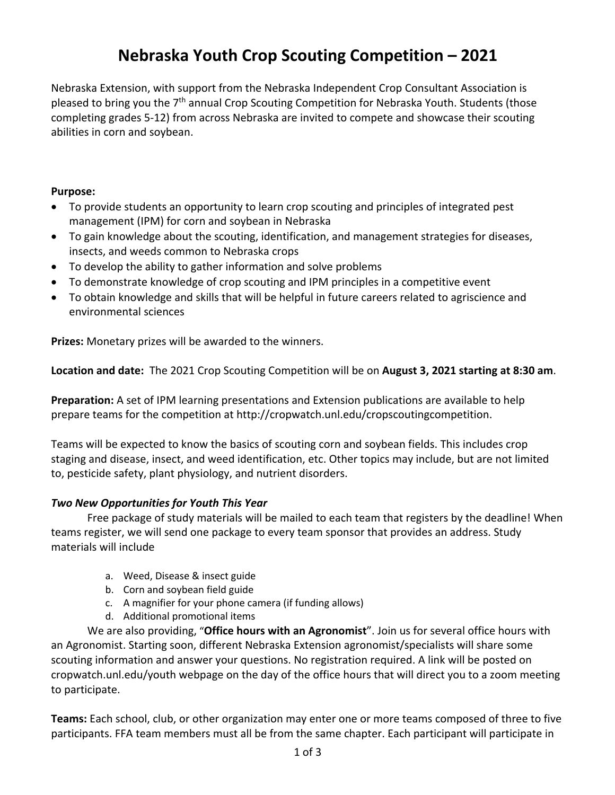# **Nebraska Youth Crop Scouting Competition – 2021**

Nebraska Extension, with support from the Nebraska Independent Crop Consultant Association is pleased to bring you the 7<sup>th</sup> annual Crop Scouting Competition for Nebraska Youth. Students (those completing grades 5-12) from across Nebraska are invited to compete and showcase their scouting abilities in corn and soybean.

#### **Purpose:**

- To provide students an opportunity to learn crop scouting and principles of integrated pest management (IPM) for corn and soybean in Nebraska
- To gain knowledge about the scouting, identification, and management strategies for diseases, insects, and weeds common to Nebraska crops
- To develop the ability to gather information and solve problems
- To demonstrate knowledge of crop scouting and IPM principles in a competitive event
- To obtain knowledge and skills that will be helpful in future careers related to agriscience and environmental sciences

**Prizes:** Monetary prizes will be awarded to the winners.

**Location and date:** The 2021 Crop Scouting Competition will be on **August 3, 2021 starting at 8:30 am**.

**Preparation:** A set of IPM learning presentations and Extension publications are available to help prepare teams for the competition at http://cropwatch.unl.edu/cropscoutingcompetition.

Teams will be expected to know the basics of scouting corn and soybean fields. This includes crop staging and disease, insect, and weed identification, etc. Other topics may include, but are not limited to, pesticide safety, plant physiology, and nutrient disorders.

#### *Two New Opportunities for Youth This Year*

Free package of study materials will be mailed to each team that registers by the deadline! When teams register, we will send one package to every team sponsor that provides an address. Study materials will include

- a. Weed, Disease & insect guide
- b. Corn and soybean field guide
- c. A magnifier for your phone camera (if funding allows)
- d. Additional promotional items

We are also providing, "**Office hours with an Agronomist**". Join us for several office hours with an Agronomist. Starting soon, different Nebraska Extension agronomist/specialists will share some scouting information and answer your questions. No registration required. A link will be posted on cropwatch.unl.edu/youth webpage on the day of the office hours that will direct you to a zoom meeting to participate.

**Teams:** Each school, club, or other organization may enter one or more teams composed of three to five participants. FFA team members must all be from the same chapter. Each participant will participate in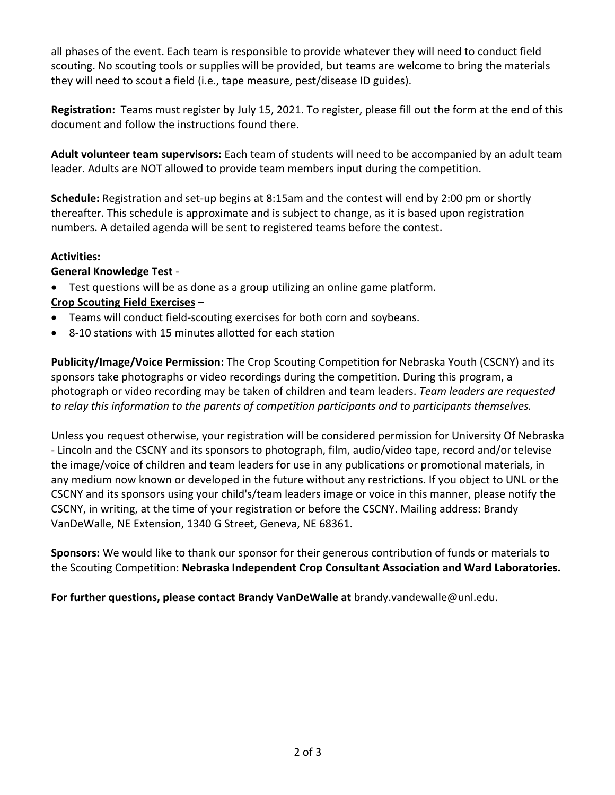all phases of the event. Each team is responsible to provide whatever they will need to conduct field scouting. No scouting tools or supplies will be provided, but teams are welcome to bring the materials they will need to scout a field (i.e., tape measure, pest/disease ID guides).

**Registration:** Teams must register by July 15, 2021. To register, please fill out the form at the end of this document and follow the instructions found there.

**Adult volunteer team supervisors:** Each team of students will need to be accompanied by an adult team leader. Adults are NOT allowed to provide team members input during the competition.

**Schedule:** Registration and set-up begins at 8:15am and the contest will end by 2:00 pm or shortly thereafter. This schedule is approximate and is subject to change, as it is based upon registration numbers. A detailed agenda will be sent to registered teams before the contest.

### **Activities:**

### **General Knowledge Test** -

- Test questions will be as done as a group utilizing an online game platform. **Crop Scouting Field Exercises** –
- Teams will conduct field-scouting exercises for both corn and soybeans.
- 8-10 stations with 15 minutes allotted for each station

**Publicity/Image/Voice Permission:** The Crop Scouting Competition for Nebraska Youth (CSCNY) and its sponsors take photographs or video recordings during the competition. During this program, a photograph or video recording may be taken of children and team leaders. *Team leaders are requested to relay this information to the parents of competition participants and to participants themselves.*

Unless you request otherwise, your registration will be considered permission for University Of Nebraska - Lincoln and the CSCNY and its sponsors to photograph, film, audio/video tape, record and/or televise the image/voice of children and team leaders for use in any publications or promotional materials, in any medium now known or developed in the future without any restrictions. If you object to UNL or the CSCNY and its sponsors using your child's/team leaders image or voice in this manner, please notify the CSCNY, in writing, at the time of your registration or before the CSCNY. Mailing address: Brandy VanDeWalle, NE Extension, 1340 G Street, Geneva, NE 68361.

**Sponsors:** We would like to thank our sponsor for their generous contribution of funds or materials to the Scouting Competition: **Nebraska Independent Crop Consultant Association and Ward Laboratories.**

**For further questions, please contact Brandy VanDeWalle at** brandy.vandewalle@unl.edu.